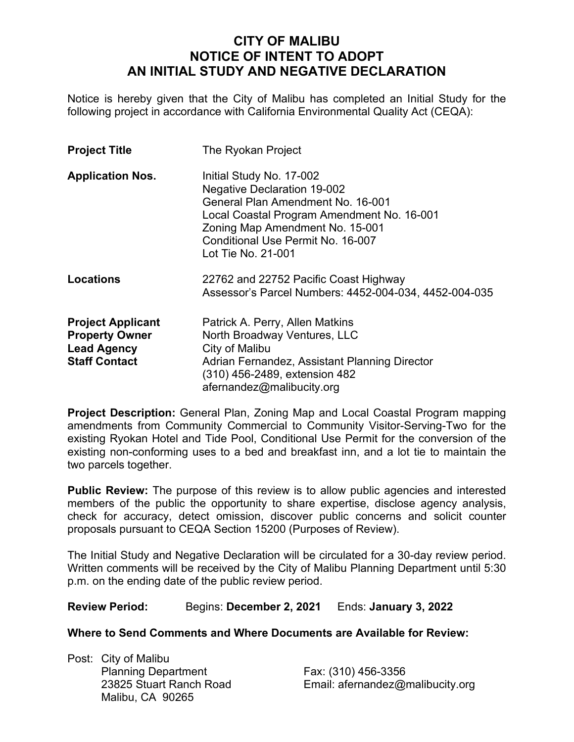## **CITY OF MALIBU NOTICE OF INTENT TO ADOPT AN INITIAL STUDY AND NEGATIVE DECLARATION**

Notice is hereby given that the City of Malibu has completed an Initial Study for the following project in accordance with California Environmental Quality Act (CEQA):

| <b>Project Title</b>                                                                            | The Ryokan Project                                                                                                                                                                                                                              |
|-------------------------------------------------------------------------------------------------|-------------------------------------------------------------------------------------------------------------------------------------------------------------------------------------------------------------------------------------------------|
| <b>Application Nos.</b>                                                                         | Initial Study No. 17-002<br><b>Negative Declaration 19-002</b><br>General Plan Amendment No. 16-001<br>Local Coastal Program Amendment No. 16-001<br>Zoning Map Amendment No. 15-001<br>Conditional Use Permit No. 16-007<br>Lot Tie No. 21-001 |
| <b>Locations</b>                                                                                | 22762 and 22752 Pacific Coast Highway<br>Assessor's Parcel Numbers: 4452-004-034, 4452-004-035                                                                                                                                                  |
| <b>Project Applicant</b><br><b>Property Owner</b><br><b>Lead Agency</b><br><b>Staff Contact</b> | Patrick A. Perry, Allen Matkins<br>North Broadway Ventures, LLC<br>City of Malibu<br>Adrian Fernandez, Assistant Planning Director<br>(310) 456-2489, extension 482<br>afernandez@malibucity.org                                                |

**Project Description:** General Plan, Zoning Map and Local Coastal Program mapping amendments from Community Commercial to Community Visitor-Serving-Two for the existing Ryokan Hotel and Tide Pool, Conditional Use Permit for the conversion of the existing non-conforming uses to a bed and breakfast inn, and a lot tie to maintain the two parcels together.

**Public Review:** The purpose of this review is to allow public agencies and interested members of the public the opportunity to share expertise, disclose agency analysis, check for accuracy, detect omission, discover public concerns and solicit counter proposals pursuant to CEQA Section 15200 (Purposes of Review).

The Initial Study and Negative Declaration will be circulated for a 30-day review period. Written comments will be received by the City of Malibu Planning Department until 5:30 p.m. on the ending date of the public review period.

**Review Period:** Begins: **December 2, 2021** Ends: **January 3, 2022**

## **Where to Send Comments and Where Documents are Available for Review:**

Post: City of Malibu Planning Department Fax: (310) 456-3356 Malibu, CA 90265

23825 Stuart Ranch Road Email: afernandez@malibucity.org